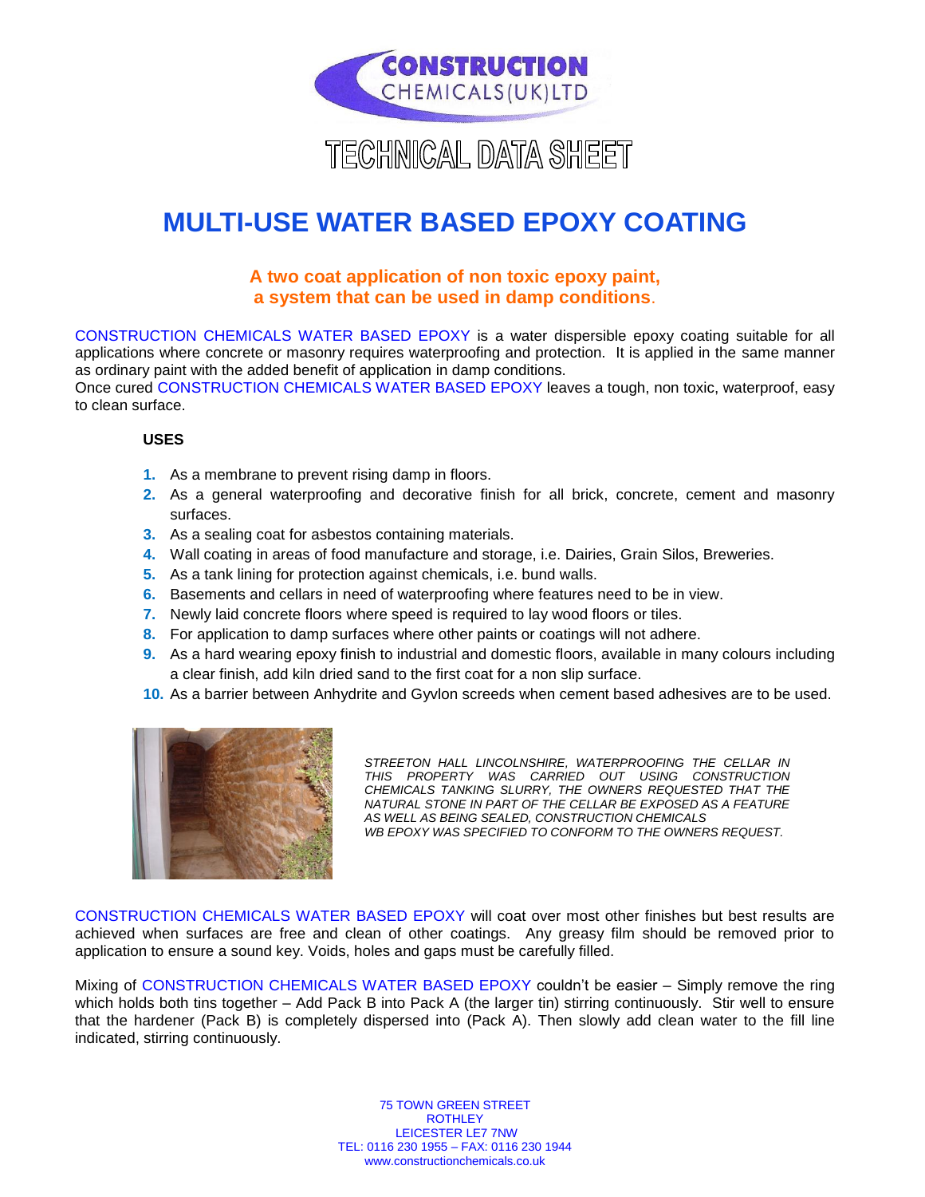

# TECHNICAL DATA SHEET

# **MULTI-USE WATER BASED EPOXY COATING**

# **A two coat application of non toxic epoxy paint, a system that can be used in damp conditions**.

CONSTRUCTION CHEMICALS WATER BASED EPOXY is a water dispersible epoxy coating suitable for all applications where concrete or masonry requires waterproofing and protection. It is applied in the same manner as ordinary paint with the added benefit of application in damp conditions.

Once cured CONSTRUCTION CHEMICALS WATER BASED EPOXY leaves a tough, non toxic, waterproof, easy to clean surface.

## **USES**

- **1.** As a membrane to prevent rising damp in floors.
- **2.** As a general waterproofing and decorative finish for all brick, concrete, cement and masonry surfaces.
- **3.** As a sealing coat for asbestos containing materials.
- **4.** Wall coating in areas of food manufacture and storage, i.e. Dairies, Grain Silos, Breweries.
- **5.** As a tank lining for protection against chemicals, i.e. bund walls.
- **6.** Basements and cellars in need of waterproofing where features need to be in view.
- **7.** Newly laid concrete floors where speed is required to lay wood floors or tiles.
- **8.** For application to damp surfaces where other paints or coatings will not adhere.
- **9.** As a hard wearing epoxy finish to industrial and domestic floors, available in many colours including a clear finish, add kiln dried sand to the first coat for a non slip surface.
- **10.** As a barrier between Anhydrite and Gyvlon screeds when cement based adhesives are to be used.



STREETON HALL LINCOLNSHIRE, WATERPROOFING THE CELLAR IN *THIS PROPERTY WAS CARRIED OUT USING CONSTRUCTION CHEMICALS TANKING SLURRY, THE OWNERS REQUESTED THAT THE NATURAL STONE IN PART OF THE CELLAR BE EXPOSED AS A FEATURE AS WELL AS BEING SEALED, CONSTRUCTION CHEMICALS WB EPOXY WAS SPECIFIED TO CONFORM TO THE OWNERS REQUEST.*

CONSTRUCTION CHEMICALS WATER BASED EPOXY will coat over most other finishes but best results are achieved when surfaces are free and clean of other coatings. Any greasy film should be removed prior to application to ensure a sound key. Voids, holes and gaps must be carefully filled.

Mixing of CONSTRUCTION CHEMICALS WATER BASED EPOXY couldn't be easier – Simply remove the ring which holds both tins together – Add Pack B into Pack A (the larger tin) stirring continuously. Stir well to ensure that the hardener (Pack B) is completely dispersed into (Pack A). Then slowly add clean water to the fill line indicated, stirring continuously.

> 75 TOWN GREEN STREET ROTHLEY LEICESTER LE7 7NW TEL: 0116 230 1955 – FAX: 0116 230 1944 www.constructionchemicals.co.uk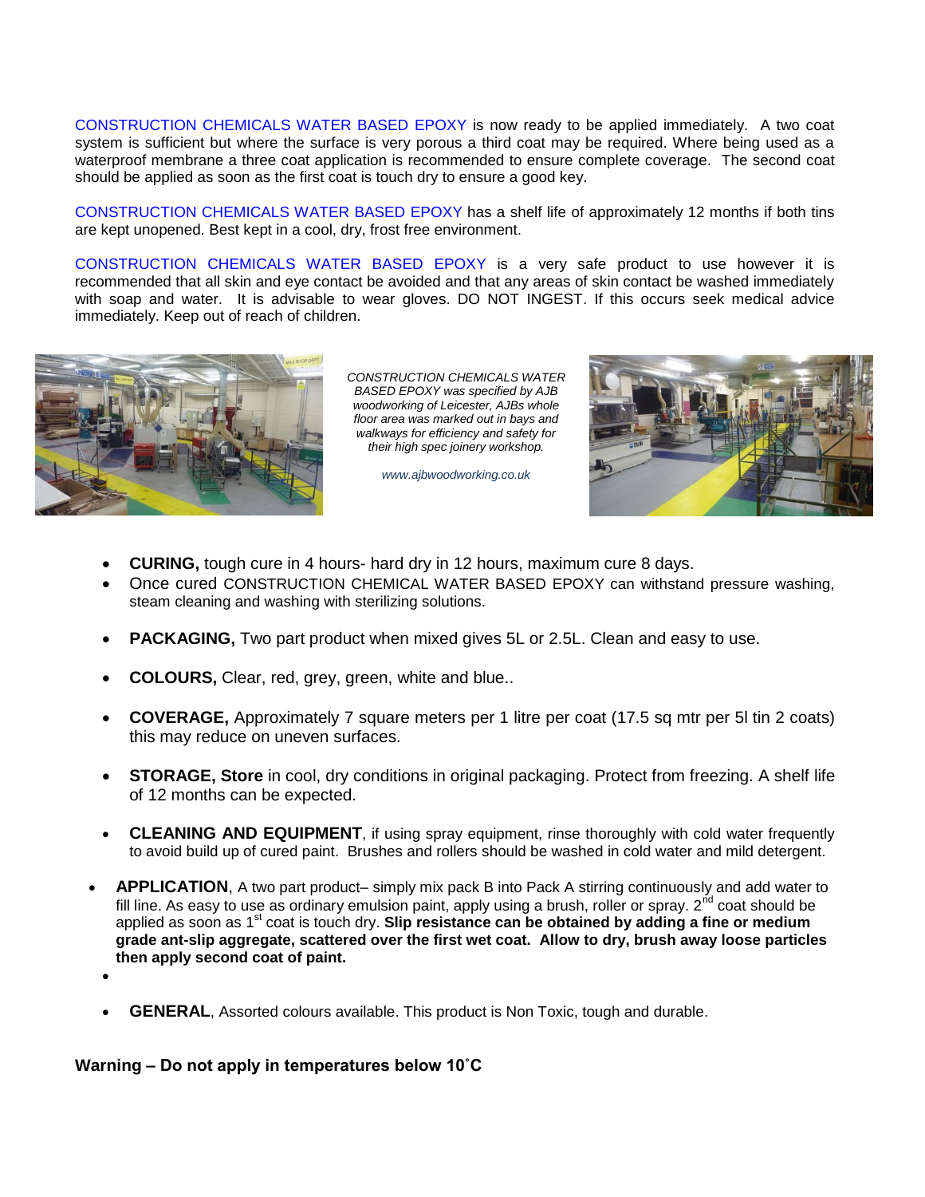CONSTRUCTION CHEMICALS WATER BASED EPOXY is now ready to be applied immediately. A two coat system is sufficient but where the surface is very porous a third coat may be required. Where being used as a waterproof membrane a three coat application is recommended to ensure complete coverage. The second coat should be applied as soon as the first coat is touch dry to ensure a good key.

CONSTRUCTION CHEMICALS WATER BASED EPOXY has a shelf life of approximately 12 months if both tins are kept unopened. Best kept in a cool, dry, frost free environment.

CONSTRUCTION CHEMICALS WATER BASED EPOXY is a very safe product to use however it is recommended that all skin and eye contact be avoided and that any areas of skin contact be washed immediately with soap and water. It is advisable to wear gloves. DO NOT INGEST. If this occurs seek medical advice immediately. Keep out of reach of children.



*CONSTRUCTION CHEMICALS WATER BASED EPOXY was specified by AJB woodworking of Leicester, AJBs whole floor area was marked out in bays and walkways for efficiency and safety for their high spec joinery workshop.*





- **CURING,** tough cure in 4 hours- hard dry in 12 hours, maximum cure 8 days.
- Once cured CONSTRUCTION CHEMICAL WATER BASED EPOXY can withstand pressure washing, steam cleaning and washing with sterilizing solutions.
- **PACKAGING,** Two part product when mixed gives 5L or 2.5L. Clean and easy to use.
- **COLOURS,** Clear, red, grey, green, white and blue..
- **COVERAGE,** Approximately 7 square meters per 1 litre per coat (17.5 sq mtr per 5l tin 2 coats) this may reduce on uneven surfaces.
- **STORAGE, Store** in cool, dry conditions in original packaging. Protect from freezing. A shelf life of 12 months can be expected.
- CLEANING AND EQUIPMENT, if using spray equipment, rinse thoroughly with cold water frequently to avoid build up of cured paint. Brushes and rollers should be washed in cold water and mild detergent.
- **APPLICATION**, A two part product– simply mix pack B into Pack A stirring continuously and add water to fill line. As easy to use as ordinary emulsion paint, apply using a brush, roller or spray.  $2^{nd}$  coat should be applied as soon as 1<sup>st</sup> coat is touch dry. **Slip resistance can be obtained by adding a fine or medium grade ant-slip aggregate, scattered over the first wet coat. Allow to dry, brush away loose particles then apply second coat of paint.** 
	- - **GENERAL**, Assorted colours available. This product is Non Toxic, tough and durable.

### **Warning – Do not apply in temperatures below 10˚C**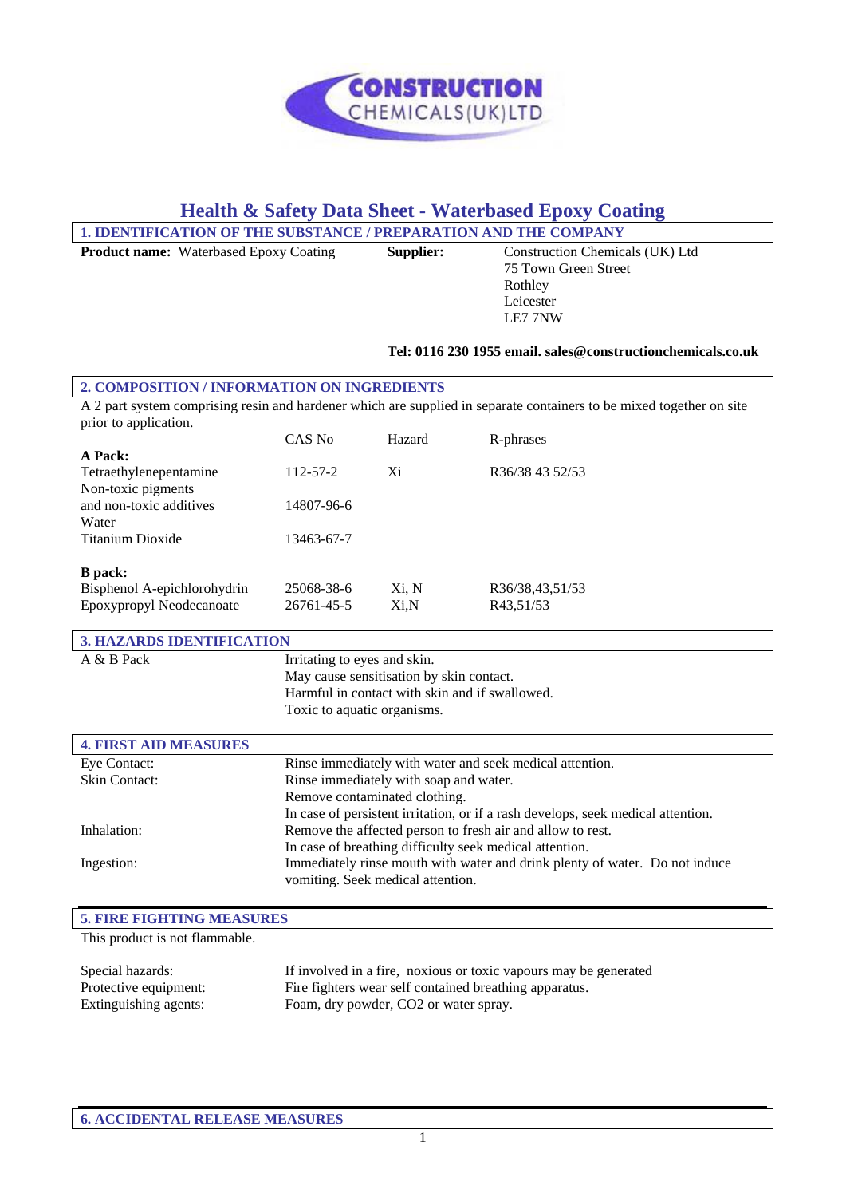

# **Health & Safety Data Sheet - Waterbased Epoxy Coating**

| 1. IDENTIFICATION OF THE SUBSTANCE / PREPARATION AND THE COMPANY |           |                                                                                 |  |
|------------------------------------------------------------------|-----------|---------------------------------------------------------------------------------|--|
| <b>Product name:</b> Waterbased Epoxy Coating                    | Supplier: | Construction Chemicals (UK) Ltd<br>75 Town Green Street<br>Rothley<br>Leicester |  |

#### **Tel: 0116 230 1955 email. sales@constructionchemicals.co.uk**

LE7 7NW

| 2. COMPOSITION / INFORMATION ON INGREDIENTS                                                                          |                |        |                 |
|----------------------------------------------------------------------------------------------------------------------|----------------|--------|-----------------|
| A 2 part system comprising resin and hardener which are supplied in separate containers to be mixed together on site |                |        |                 |
| prior to application.                                                                                                |                |        |                 |
|                                                                                                                      | CAS No         | Hazard | R-phrases       |
| A Pack:                                                                                                              |                |        |                 |
| Tetraethylenepentamine                                                                                               | $112 - 57 - 2$ | Xi     | R36/38 43 52/53 |
| Non-toxic pigments                                                                                                   |                |        |                 |
| and non-toxic additives                                                                                              | 14807-96-6     |        |                 |
| Water                                                                                                                |                |        |                 |
| Titanium Dioxide                                                                                                     | 13463-67-7     |        |                 |
|                                                                                                                      |                |        |                 |
| <b>B</b> pack:                                                                                                       |                |        |                 |
| Bisphenol A-epichlorohydrin                                                                                          | 25068-38-6     | Xi, N  | R36/38,43,51/53 |
| Epoxypropyl Neodecanoate                                                                                             | 26761-45-5     | Xi.N   | R43.51/53       |

| <b>3. HAZARDS IDENTIFICATION</b> |                                                                                  |  |
|----------------------------------|----------------------------------------------------------------------------------|--|
| A & B Pack                       | Irritating to eyes and skin.                                                     |  |
|                                  | May cause sensitisation by skin contact.                                         |  |
|                                  | Harmful in contact with skin and if swallowed.                                   |  |
|                                  | Toxic to aquatic organisms.                                                      |  |
| <b>4. FIRST AID MEASURES</b>     |                                                                                  |  |
| Eye Contact:                     | Rinse immediately with water and seek medical attention.                         |  |
| <b>Skin Contact:</b>             | Rinse immediately with soap and water.                                           |  |
|                                  | Remove contaminated clothing.                                                    |  |
|                                  | In case of persistent irritation, or if a rash develops, seek medical attention. |  |
| Inhalation:                      | Remove the affected person to fresh air and allow to rest.                       |  |
|                                  | In case of breathing difficulty seek medical attention.                          |  |
| Ingestion:                       | Immediately rinse mouth with water and drink plenty of water. Do not induce      |  |
|                                  | vomiting. Seek medical attention.                                                |  |

| <b>5. FIRE FIGHTING MEASURES</b> |                                                                  |  |
|----------------------------------|------------------------------------------------------------------|--|
| This product is not flammable.   |                                                                  |  |
|                                  |                                                                  |  |
| Special hazards:                 | If involved in a fire, noxious or toxic vapours may be generated |  |
| Protective equipment:            | Fire fighters wear self contained breathing apparatus.           |  |
| Extinguishing agents:            | Foam, dry powder, CO2 or water spray.                            |  |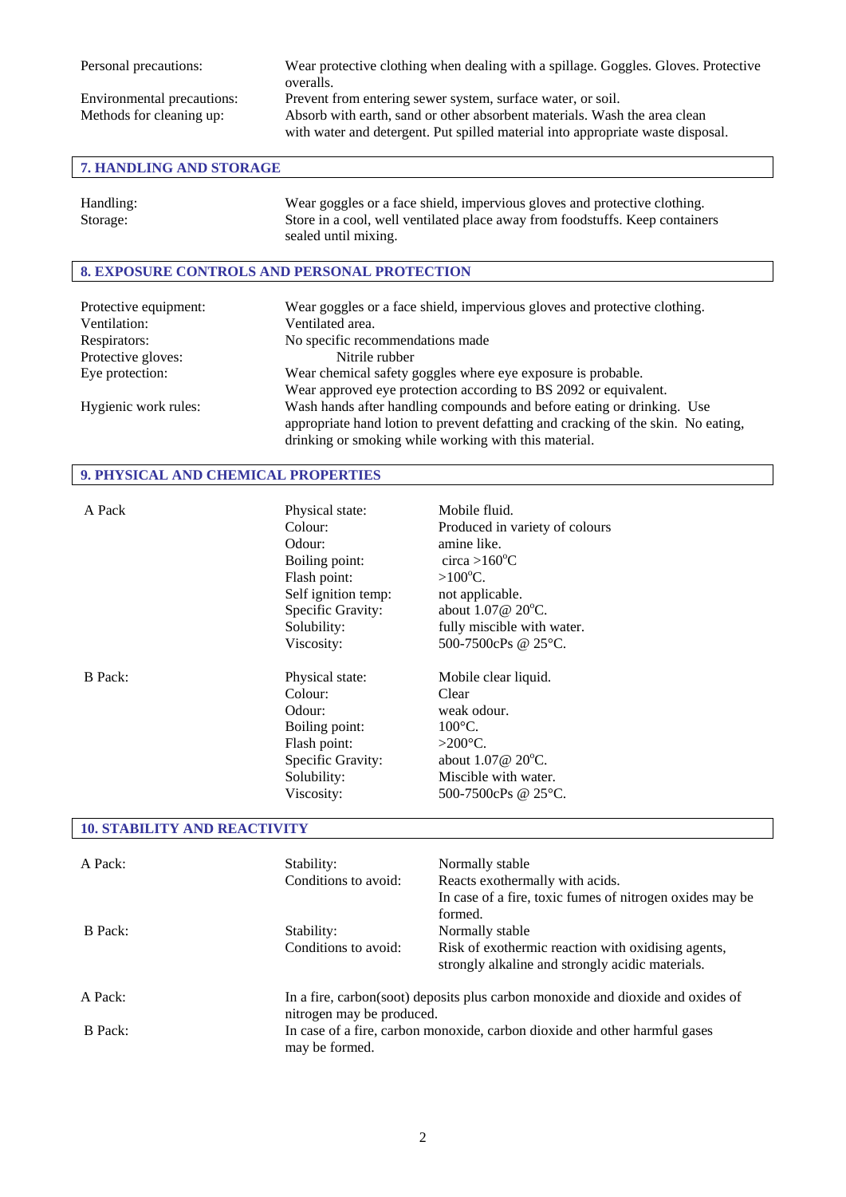Personal precautions: Wear protective clothing when dealing with a spillage. Goggles. Gloves. Protective overalls. Environmental precautions: Prevent from entering sewer system, surface water, or soil. Methods for cleaning up: Absorb with earth, sand or other absorbent materials. Wash the area clean with water and detergent. Put spilled material into appropriate waste disposal.

# **7. HANDLING AND STORAGE**

| Handling: | Wear goggles or a face shield, impervious gloves and protective clothing.    |
|-----------|------------------------------------------------------------------------------|
| Storage:  | Store in a cool, well ventilated place away from foodstuffs. Keep containers |
|           | sealed until mixing.                                                         |

# **8. EXPOSURE CONTROLS AND PERSONAL PROTECTION**

| Protective equipment: | Wear goggles or a face shield, impervious gloves and protective clothing.         |
|-----------------------|-----------------------------------------------------------------------------------|
| Ventilation:          | Ventilated area.                                                                  |
| Respirators:          | No specific recommendations made                                                  |
| Protective gloves:    | Nitrile rubber                                                                    |
| Eye protection:       | Wear chemical safety goggles where eye exposure is probable.                      |
|                       | Wear approved eye protection according to BS 2092 or equivalent.                  |
| Hygienic work rules:  | Wash hands after handling compounds and before eating or drinking. Use            |
|                       | appropriate hand lotion to prevent defatting and cracking of the skin. No eating, |
|                       | drinking or smoking while working with this material.                             |

## **9. PHYSICAL AND CHEMICAL PROPERTIES**

| A Pack         | Physical state:<br>Colour:<br>Odour:<br>Boiling point:<br>Flash point:<br>Self ignition temp:<br>Specific Gravity:<br>Solubility:<br>Viscosity: | Mobile fluid.<br>Produced in variety of colours<br>amine like.<br>circa > $160^{\circ}$ C<br>$>100^{\circ}$ C.<br>not applicable.<br>about $1.07@20°C$ .<br>fully miscible with water.<br>500-7500cPs @ 25°C. |
|----------------|-------------------------------------------------------------------------------------------------------------------------------------------------|---------------------------------------------------------------------------------------------------------------------------------------------------------------------------------------------------------------|
| <b>B</b> Pack: | Physical state:<br>Colour:<br>Odour:<br>Boiling point:<br>Flash point:<br>Specific Gravity:<br>Solubility:<br>Viscosity:                        | Mobile clear liquid.<br>Clear<br>weak odour.<br>$100^{\circ}$ C.<br>$>200^{\circ}$ C.<br>about $1.07@20^{\circ}C$ .<br>Miscible with water.<br>500-7500cPs @ 25 °C.                                           |

#### **10. STABILITY AND REACTIVITY**

| A Pack: | Stability:<br>Conditions to avoid: | Normally stable<br>Reacts exothermally with acids.<br>In case of a fire, toxic fumes of nitrogen oxides may be<br>formed. |
|---------|------------------------------------|---------------------------------------------------------------------------------------------------------------------------|
| B Pack: | Stability:<br>Conditions to avoid: | Normally stable<br>Risk of exothermic reaction with oxidising agents,<br>strongly alkaline and strongly acidic materials. |
| A Pack: | nitrogen may be produced.          | In a fire, carbon(soot) deposits plus carbon monoxide and dioxide and oxides of                                           |
| B Pack: | may be formed.                     | In case of a fire, carbon monoxide, carbon dioxide and other harmful gases                                                |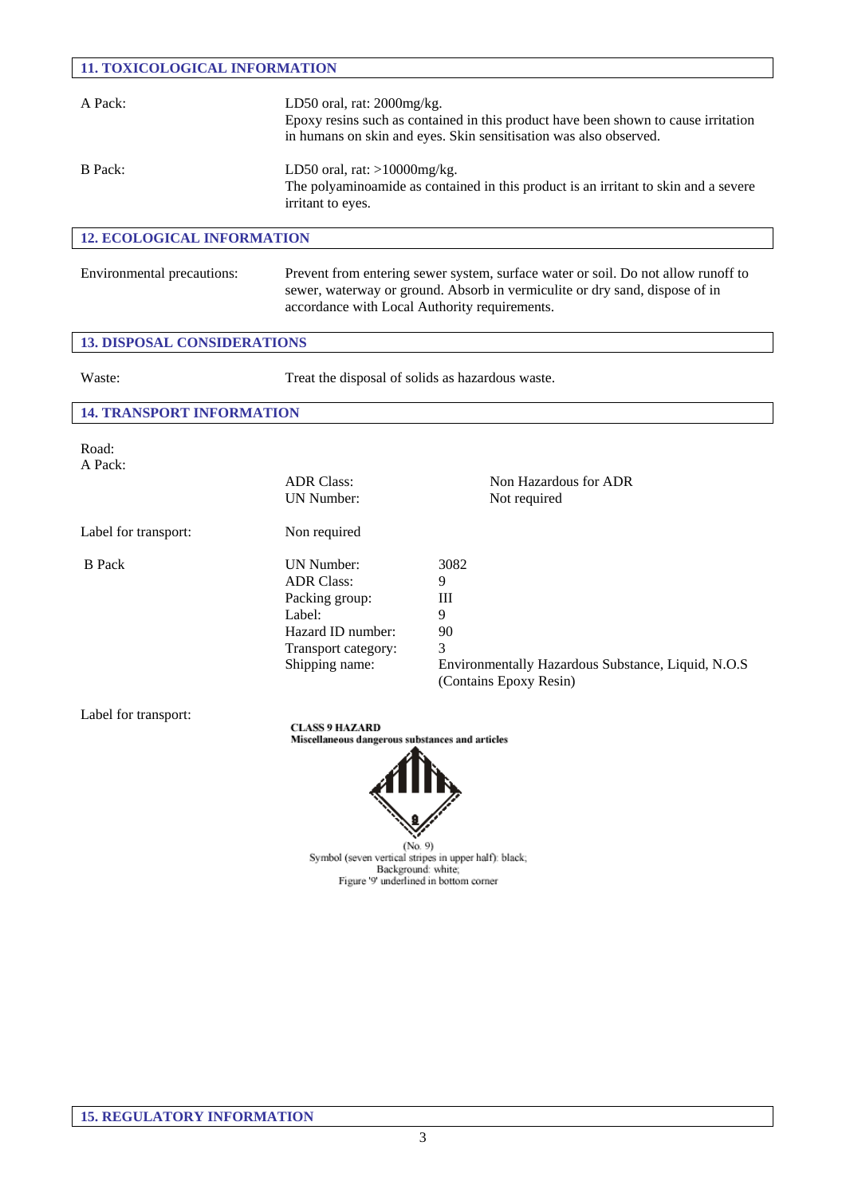| <b>11. TOXICOLOGICAL INFORMATION</b> |                                                                                                                                                                                                                   |                                                                                                                |  |
|--------------------------------------|-------------------------------------------------------------------------------------------------------------------------------------------------------------------------------------------------------------------|----------------------------------------------------------------------------------------------------------------|--|
| A Pack:                              | LD50 oral, rat: 2000mg/kg.<br>Epoxy resins such as contained in this product have been shown to cause irritation<br>in humans on skin and eyes. Skin sensitisation was also observed.                             |                                                                                                                |  |
| <b>B</b> Pack:                       | LD50 oral, rat: $>10000$ mg/kg.<br>The polyaminoamide as contained in this product is an irritant to skin and a severe<br>irritant to eyes.                                                                       |                                                                                                                |  |
| <b>12. ECOLOGICAL INFORMATION</b>    |                                                                                                                                                                                                                   |                                                                                                                |  |
| Environmental precautions:           | Prevent from entering sewer system, surface water or soil. Do not allow runoff to<br>sewer, waterway or ground. Absorb in vermiculite or dry sand, dispose of in<br>accordance with Local Authority requirements. |                                                                                                                |  |
| <b>13. DISPOSAL CONSIDERATIONS</b>   |                                                                                                                                                                                                                   |                                                                                                                |  |
| Waste:                               | Treat the disposal of solids as hazardous waste.                                                                                                                                                                  |                                                                                                                |  |
| <b>14. TRANSPORT INFORMATION</b>     |                                                                                                                                                                                                                   |                                                                                                                |  |
| Road:<br>A Pack:                     | <b>ADR Class:</b><br>UN Number:                                                                                                                                                                                   | Non Hazardous for ADR<br>Not required                                                                          |  |
| Label for transport:                 | Non required                                                                                                                                                                                                      |                                                                                                                |  |
| <b>B</b> Pack                        | <b>UN Number:</b><br><b>ADR Class:</b><br>Packing group:<br>Label:<br>Hazard ID number:<br>Transport category:<br>Shipping name:                                                                                  | 3082<br>9<br>Ш<br>9<br>90<br>3<br>Environmentally Hazardous Substance, Liquid, N.O.S<br>(Contains Epoxy Resin) |  |
| Label for transport:                 | <b>CLASS 9 HAZARD</b><br>Miscellaneous dangerous substances and articles<br>(No. 9)<br>Symbol (seven vertical stripes in upper half): black;<br>Background: white;<br>Figure '9' underlined in bottom corner      |                                                                                                                |  |